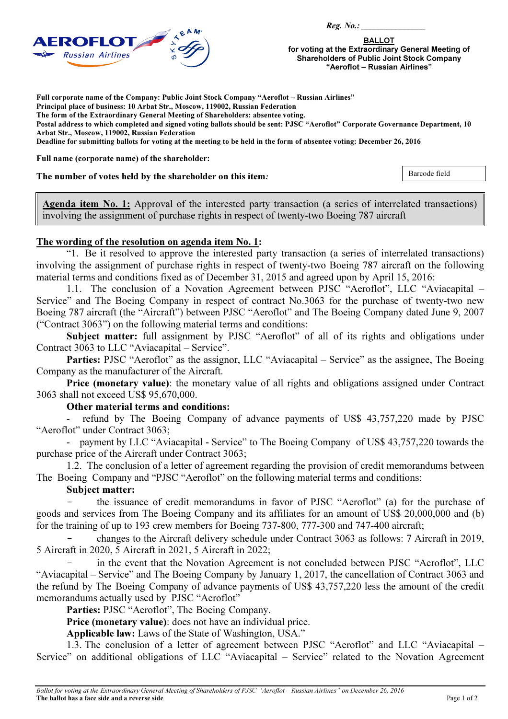

BALLOT for voting at the Extraordinary General Meeting of Shareholders of Public Joint Stock Company "Aeroflot – Russian Airlines"

Full corporate name of the Company: Public Joint Stock Company "Aeroflot – Russian Airlines"

Principal place of business: 10 Arbat Str., Moscow, 119002, Russian Federation

The form of the Extraordinary General Meeting of Shareholders: absentee voting.

Postal address to which completed and signed voting ballots should be sent: PJSC "Aeroflot" Corporate Governance Department, 10 Arbat Str., Moscow, 119002, Russian Federation

Deadline for submitting ballots for voting at the meeting to be held in the form of absentee voting: December 26, 2016

Full name (corporate name) of the shareholder:

The number of votes held by the shareholder on this item*:* 

Barcode field

Agenda item No. 1: Approval of the interested party transaction (a series of interrelated transactions) involving the assignment of purchase rights in respect of twenty-two Boeing 787 aircraft

## The wording of the resolution on agenda item No. 1:

"1. Be it resolved to approve the interested party transaction (a series of interrelated transactions) involving the assignment of purchase rights in respect of twenty-two Boeing 787 aircraft on the following material terms and conditions fixed as of December 31, 2015 and agreed upon by April 15, 2016:

1.1. The conclusion of a Novation Agreement between PJSC "Aeroflot", LLC "Aviacapital – Service" and The Boeing Company in respect of contract No.3063 for the purchase of twenty-two new Boeing 787 aircraft (the "Aircraft") between PJSC "Aeroflot" and The Boeing Company dated June 9, 2007 ("Contract 3063") on the following material terms and conditions:

Subject matter: full assignment by PJSC "Aeroflot" of all of its rights and obligations under Contract 3063 to LLC "Aviacapital – Service".

Parties: PJSC "Aeroflot" as the assignor, LLC "Aviacapital – Service" as the assignee, The Boeing Company as the manufacturer of the Aircraft.

Price (monetary value): the monetary value of all rights and obligations assigned under Contract 3063 shall not exceed US\$ 95,670,000.

## Other material terms and conditions:

refund by The Boeing Company of advance payments of US\$ 43,757,220 made by PJSC "Aeroflot" under Contract 3063;

- payment by LLC "Aviacapital - Service" to The Boeing Company of US\$ 43,757,220 towards the purchase price of the Aircraft under Contract 3063;

1.2. The conclusion of a letter of agreement regarding the provision of credit memorandums between The Boeing Company and "PJSC "Aeroflot" on the following material terms and conditions:

## Subject matter:

the issuance of credit memorandums in favor of PJSC "Aeroflot" (a) for the purchase of goods and services from The Boeing Company and its affiliates for an amount of US\$ 20,000,000 and (b) for the training of up to 193 crew members for Boeing 737-800, 777-300 and 747-400 aircraft;

- changes to the Aircraft delivery schedule under Contract 3063 as follows: 7 Aircraft in 2019, 5 Aircraft in 2020, 5 Aircraft in 2021, 5 Aircraft in 2022;

in the event that the Novation Agreement is not concluded between PJSC "Aeroflot", LLC "Aviacapital – Service" and The Boeing Company by January 1, 2017, the cancellation of Contract 3063 and the refund by The Boeing Company of advance payments of US\$ 43,757,220 less the amount of the credit memorandums actually used by PJSC "Aeroflot"

Parties: PJSC "Aeroflot", The Boeing Company.

Price (monetary value): does not have an individual price.

Applicable law: Laws of the State of Washington, USA."

1.3. The conclusion of a letter of agreement between PJSC "Aeroflot" and LLC "Aviacapital – Service" on additional obligations of LLC "Aviacapital – Service" related to the Novation Agreement